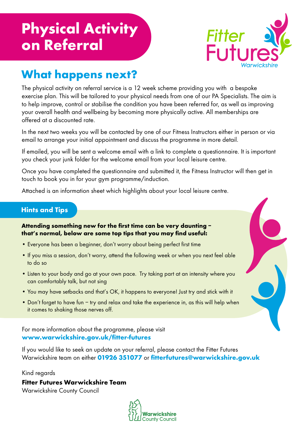# **Physical Activity on Referral**



### **What happens next?**

The physical activity on referral service is a 12 week scheme providing you with a bespoke exercise plan. This will be tailored to your physical needs from one of our PA Specialists. The aim is to help improve, control or stabilise the condition you have been referred for, as well as improving your overall health and wellbeing by becoming more physically active. All memberships are offered at a discounted rate.

In the next two weeks you will be contacted by one of our Fitness Instructors either in person or via email to arrange your initial appointment and discuss the programme in more detail.

If emailed, you will be sent a welcome email with a link to complete a questionnaire. It is important you check your junk folder for the welcome email from your local leisure centre.

Once you have completed the questionnaire and submitted it, the Fitness Instructor will then get in touch to book you in for your gym programme/induction.

Attached is an information sheet which highlights about your local leisure centre.

#### **Hints and Tips**

**Attending something new for the first time can be very daunting – that's normal, below are some top tips that you may find useful:**

- Everyone has been a beginner, don't worry about being perfect first time
- If you miss a session, don't worry, attend the following week or when you next feel able to do so
- Listen to your body and go at your own pace. Try taking part at an intensity where you can comfortably talk, but not sing
- You may have setbacks and that's OK, it happens to everyone! Just try and stick with it
- Don't forget to have fun try and relax and take the experience in, as this will help when it comes to shaking those nerves off.

For more information about the programme, please visit **www.warwickshire.gov.uk/fitter-futures**

If you would like to seek an update on your referral, please contact the Fitter Futures Warwickshire team on either **01926 351077** or **fitterfutures@warwickshire.gov.uk**

Kind regards

**Fitter Futures Warwickshire Team**

Warwickshire County Council